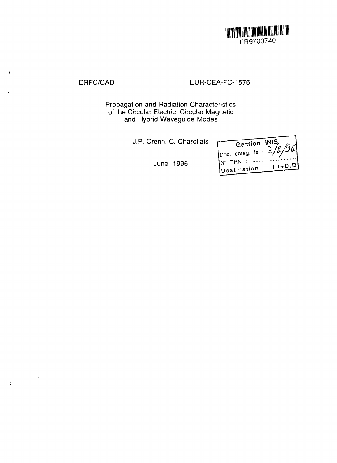

 $\sim$  .

÷

# DRFC/CAD EUR-CEA-FC-1576

Propagation and Radiation Characteristics of the Circular Electric, Circular Magnetic and Hybrid Waveguide Modes

J.P. Crenn, C. Charollais

June 1996

| Gestion INIS,     |                                                                                                                             |
|-------------------|-----------------------------------------------------------------------------------------------------------------------------|
|                   | $\left  \begin{matrix} 0 & 0 \\ 0 & 1 \end{matrix} \right $ and $\left  \begin{matrix} 0 & 0 \\ 0 & 1 \end{matrix} \right $ |
| $N^{\circ}$ TRN : |                                                                                                                             |
| Destination       | $I, I+D, D$                                                                                                                 |
|                   |                                                                                                                             |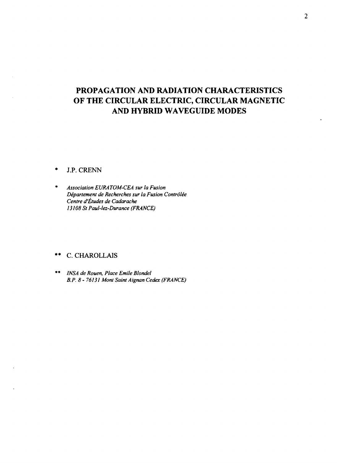# **PROPAGATION AND RADIATION CHARACTERISTICS OF THE CIRCULAR ELECTRIC, CIRCULAR MAGNETIC AND HYBRID WAVEGUIDE MODES**

#### \* J.P. CRENN

\* *Association EURATOM-CEA sur la Fusion Departement de Recherches sur la Fusion Controlee Centre d'Etudes de Cadarache 13108 St Paul-lez-Durance (FRANCE)*

#### \*\* C. CHAROLLAIS

\*\* *INSA de Rouen, Place Emile Blondel B.P. 8 - 76131 Mont Saint Aignan Cedex (FRANCE)*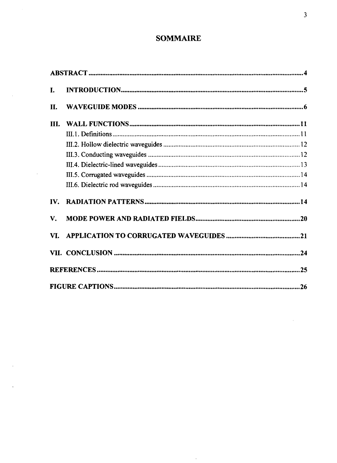# SOMMAIRE

 $\bar{z}$ 

 $\bar{\beta}$ 

| I.   |  |
|------|--|
| II.  |  |
| III. |  |
|      |  |
|      |  |
|      |  |
|      |  |
|      |  |
|      |  |
|      |  |
| V.   |  |
|      |  |
|      |  |
|      |  |
|      |  |

 $\hat{\mathcal{L}}$ 

 $\bar{z}$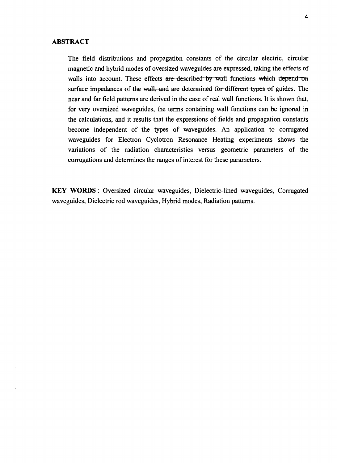#### **ABSTRACT**

The field distributions and propagation constants of the circular electric, circular magnetic and hybrid modes of oversized waveguides are expressed, taking the effects of walls into account. These effects are described by wall functions which depend on surface impedances of the wall, and are determined for different types of guides. The near and far field patterns are derived in the case of real wall functions. It is shown that, for very oversized waveguides, the terms containing wall functions can be ignored in the calculations, and it results that the expressions of fields and propagation constants become independent of the types of waveguides. An application to corrugated waveguides for Electron Cyclotron Resonance Heating experiments shows the variations of the radiation characteristics versus geometric parameters of the corrugations and determines the ranges of interest for these parameters.

**KEY WORDS** : Oversized circular waveguides, Dielectric-lined waveguides, Corrugated waveguides, Dielectric rod waveguides, Hybrid modes, Radiation patterns.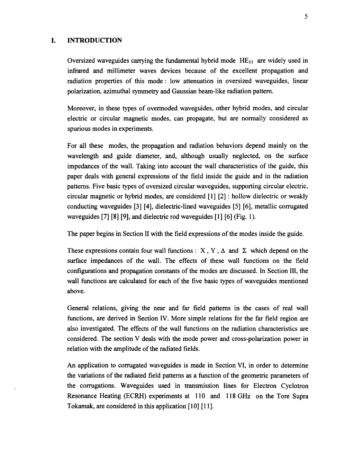#### **I. INTRODUCTION**

Oversized waveguides carrying the fundamental hybrid mode  $HE_{11}$  are widely used in infrared and millimeter waves devices because of the excellent propagation and radiation properties of this mode : low attenuation in oversized waveguides, linear polarization, azimuthal symmetry and Gaussian beam-like radiation pattern.

Moreover, in these types of overmoded waveguides, other hybrid modes, and circular electric or circular magnetic modes, can propagate, but are normally considered as spurious modes in experiments.

For all these modes, the propagation and radiation behaviors depend mainly on the wavelength and guide diameter, and, although usually neglected, on the surface impedances of the wall. Taking into account the wall characteristics of the guide, this paper deals with general expressions of the field inside the guide and in the radiation patterns. Five basic types of oversized circular waveguides, supporting circular electric, circular magnetic or hybrid modes, are considered [1] [2]: hollow dielectric or weakly conducting waveguides [3] [4], dielectric-lined waveguides [5] [6], metallic corrugated waveguides [7] [8] [9], and dielectric rod waveguides [1] [6] (Fig. 1).

The paper begins in Section II with the field expressions of the modes inside the guide.

These expressions contain four wall functions :  $X, Y, \Delta$  and  $\Sigma$  which depend on the surface impedances of the wall. The effects of these wall functions on the field configurations and propagation constants of the modes are discussed. In Section III, the wall functions are calculated for each of the five basic types of waveguides mentioned above.

General relations, giving the near and far field patterns in the cases of real wall functions, are derived in Section IV. More simple relations for the far field region are also investigated. The effects of the wall functions on the radiation characteristics are considered. The section V deals with the mode power and cross-polarization power in relation with the amplitude of the radiated fields.

An application to corrugated waveguides is made in Section VI, in order to determine the variations of the radiated field patterns as a function of the geometric parameters of the corrugations. Waveguides used in transmission lines for Electron Cyclotron Resonance Heating (ECRH) experiments at 110 and 118 GHz on the Tore Supra Tokamak, are considered in this application [10] [11].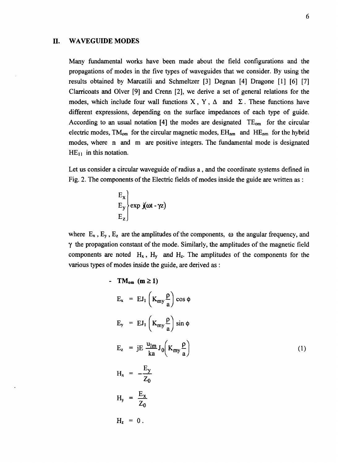### **II. WAVEGUIDE MODES**

Many fundamental works have been made about the field configurations and the propagations of modes in the five types of waveguides that we consider. By using the results obtained by Marcatili and Schmeltzer [3] Degnan [4] Dragone [1] [6] [7] Clarricoats and Olver [9] and Crenn [2], we derive a set of general relations for the modes, which include four wall functions X, Y,  $\Delta$  and  $\Sigma$ . These functions have different expressions, depending on the surface impedances of each type of guide. According to an usual notation [4] the modes are designated  $TE_{\text{om}}$  for the circular electric modes,  $TM_{\text{om}}$  for the circular magnetic modes,  $EH_{\text{nm}}$  and  $HE_{\text{nm}}$  for the hybrid modes, where n and m are positive integers. The fundamental mode is designated  $HE_{11}$  in this notation.

Let us consider a circular waveguide of radius a, and the coordinate systems defined in Fig. 2. The components of the Electric fields of modes inside the guide are written as :

$$
\begin{bmatrix}\nE_x \\
E_y \\
E_z\n\end{bmatrix}\n\exp j(\omega t - \gamma z)
$$

where  $E_x$ ,  $E_y$ ,  $E_z$  are the amplitudes of the components,  $\omega$  the angular frequency, and  $\gamma$  the propagation constant of the mode. Similarly, the amplitudes of the magnetic field components are noted  $H_x$ ,  $H_y$  and  $H_z$ . The amplitudes of the components for the various types of modes inside the guide, are derived as :

$$
TM_{\text{om}} \text{ (m} \ge 1)
$$
\n
$$
E_x = EJ_1 \left( K_{\text{my}} \frac{\rho}{a} \right) \cos \phi
$$
\n
$$
E_y = EJ_1 \left( K_{\text{my}} \frac{\rho}{a} \right) \sin \phi
$$
\n
$$
E_z = jE \frac{u_{\text{lm}}}{ka} J_0 \left( K_{\text{my}} \frac{\rho}{a} \right)
$$
\n
$$
H_x = -\frac{E_y}{Z_0}
$$
\n
$$
H_y = \frac{E_x}{Z_0}
$$
\n(1)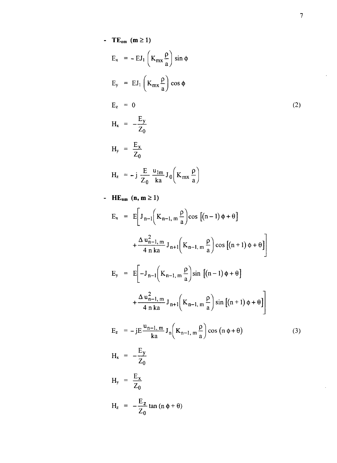- $TE_{\text{om}}$  (m  $\geq$  1)  $E_x$  = - EJ<sub>1</sub>  $\left(K_{mx} \frac{\rho}{a}\right) \sin \phi$  $E_y = EJ_1 (K_{mx} \frac{\rho}{a}) \cos \phi$  $E_z = 0$  $(2)$  $H_x = -\frac{E_y}{Z_0}$  $H_y = \frac{E_x}{Z_0}$  $H_z = -j \frac{E}{Z_0} \frac{u_{1m}}{ka} J_0 (K_{mx} \frac{\rho}{a})$
- HE<sub>nm</sub>  $(n, m \ge 1)$

$$
E_x = E \left[ J_{n-1} \left( K_{n-1, m} \frac{\rho}{a} \right) \cos \left[ (n-1) \phi + \theta \right] \right.
$$
  
\n
$$
+ \frac{\Delta u_{n-1, m}^2}{4 n k a} J_{n+1} \left( K_{n-1, m} \frac{\rho}{a} \right) \cos \left[ (n+1) \phi + \theta \right]
$$
  
\n
$$
E_y = E \left[ -J_{n-1} \left( K_{n-1, m} \frac{\rho}{a} \right) \sin \left[ (n-1) \phi + \theta \right] \right.
$$
  
\n
$$
+ \frac{\Delta u_{n-1, m}^2}{4 n k a} J_{n+1} \left( K_{n-1, m} \frac{\rho}{a} \right) \sin \left[ (n+1) \phi + \theta \right]
$$
  
\n
$$
E_z = -j E \frac{u_{n-1, m}}{k a} J_n \left( K_{n-1, m} \frac{\rho}{a} \right) \cos (n \phi + \theta)
$$
  
\n
$$
H_x = -\frac{E_y}{Z_0}
$$
  
\n
$$
H_y = \frac{E_x}{Z_0}
$$
  
\n
$$
H_z = -\frac{E_z}{Z_0} \tan (n \phi + \theta)
$$
  
\n(3)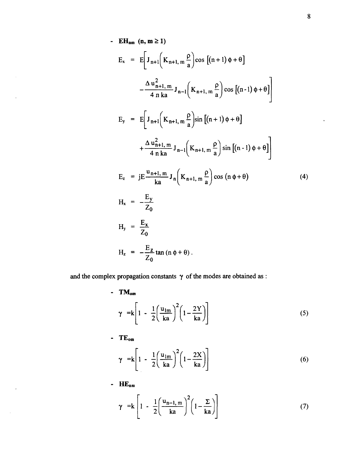$$
E_{x} = E\left[J_{n+1}\left(K_{n+1,m} \frac{\rho}{a}\right)\cos\left[(n+1)\phi + \theta\right]\right]
$$
  
\n
$$
-\frac{\Delta u_{n+1,m}^{2}}{4 n k a} J_{n-1}\left(K_{n+1,m} \frac{\rho}{a}\right)\cos\left[(n-1)\phi + \theta\right]
$$
  
\n
$$
E_{y} = E\left[J_{n+1}\left(K_{n+1,m} \frac{\rho}{a}\right)\sin\left[(n+1)\phi + \theta\right]\right]
$$
  
\n
$$
+\frac{\Delta u_{n+1,m}^{2}}{4 n k a} J_{n-1}\left(K_{n+1,m} \frac{\rho}{a}\right)\sin\left[(n-1)\phi + \theta\right]
$$
  
\n
$$
E_{z} = jE \frac{u_{n+1,m}}{k a} J_{n}\left(K_{n+1,m} \frac{\rho}{a}\right)\cos\left(n \phi + \theta\right)
$$
  
\n
$$
H_{x} = -\frac{E_{y}}{Z_{0}}
$$
  
\n
$$
H_{y} = \frac{E_{x}}{Z_{0}}
$$
  
\n
$$
H_{z} = -\frac{E_{z}}{Z_{0}} \tan\left(n \phi + \theta\right).
$$
 (4)

and the complex propagation constants  $\gamma$  of the modes are obtained as :

-  $TM_{\text{om}}$  $\gamma$  =k | 1 -  $\frac{1}{2}$ *<sup>2</sup>2{* **ka** *J {* **ka (5)**

- TE**om**

$$
\gamma = k \left[ 1 - \frac{1}{2} \left( \frac{u_{1m}}{ka} \right)^2 \left( 1 - \frac{2X}{ka} \right) \right]
$$
(6)

-  $HE_{nm}$ 

$$
\gamma = k \left[ 1 - \frac{1}{2} \left( \frac{u_{n-1,m}}{ka} \right)^2 \left( 1 - \frac{\Sigma}{ka} \right) \right]
$$
(7)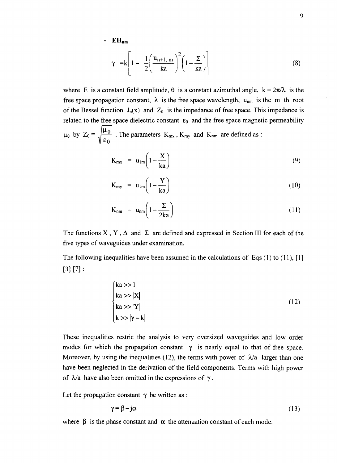- **EH<sub>nm</sub>**  
\n
$$
\gamma = k \left[ 1 - \frac{1}{2} \left( \frac{u_{n+1,m}}{ka} \right)^2 \left( 1 - \frac{\Sigma}{ka} \right) \right]
$$
\n(8)

where E is a constant field amplitude,  $\theta$  is a constant azimuthal angle,  $k = 2\pi/\lambda$  is the free space propagation constant,  $\lambda$  is the free space wavelength,  $u_{nm}$  is the m th root of the Bessel function  $J_n(x)$  and  $Z_0$  is the impedance of free space. This impedance is related to the free space dielectric constant  $\varepsilon_0$  and the free space magnetic permeability  $\mu_0$  by  $Z_0 = \sqrt{\frac{\mu_0}{\mu_0}}$ . The parameters  $K_{mx}$ ,  $K_{my}$  $\mathsf{v}\, \boldsymbol{\varepsilon}_0$ and  $K_{nm}$  are defined as :

$$
K_{mx} = u_{1m} \left( 1 - \frac{X}{ka} \right) \tag{9}
$$

$$
K_{my} = u_{lm} \left( 1 - \frac{Y}{ka} \right) \tag{10}
$$

$$
K_{nm} = u_{nm} \left( 1 - \frac{\Sigma}{2ka} \right) \tag{11}
$$

The functions X, Y,  $\Delta$  and  $\Sigma$  are defined and expressed in Section III for each of the five types of waveguides under examination.

The following inequalities have been assumed in the calculations of Eqs (1) to (11), [1]  $[3] [7]$ :

$$
\begin{cases}\nka >> 1 \\
ka >> |X| \\
ka >> |Y| \\
k >> |\gamma - k|\n\end{cases} \tag{12}
$$

These inequalities restric the analysis to very oversized waveguides and low order modes for which the propagation constant  $\gamma$  is nearly equal to that of free space. Moreover, by using the inequalities (12), the terms with power of  $\lambda/a$  larger than one have been neglected in the derivation of the field components. Terms with high power of  $\lambda/a$  have also been omitted in the expressions of  $\gamma$ .

Let the propagation constant  $\gamma$  be written as :

$$
\gamma = \beta - j\alpha \tag{13}
$$

where  $\beta$  is the phase constant and  $\alpha$  the attenuation constant of each mode.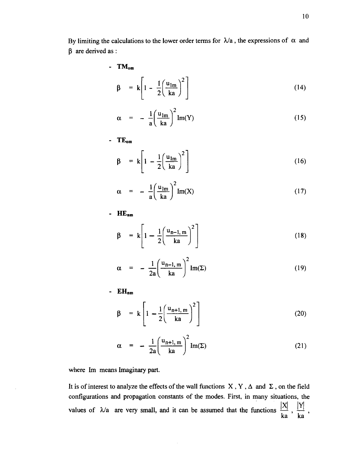By limiting the calculations to the lower order terms for  $\lambda/a$ , the expressions of  $\alpha$  and  $\beta$  are derived as :

$$
\mathbf{TM}_{\text{om}}
$$
\n
$$
\beta = k \left[ 1 - \frac{1}{2} \left( \frac{u_{1m}}{ka} \right)^2 \right]
$$
\n(14)

$$
\alpha = -\frac{1}{a} \left( \frac{u_{1m}}{ka} \right)^2 Im(Y) \tag{15}
$$

-  $TE_{\text{om}}$ 

 $\overline{a}$ 

$$
\beta = k \left[ 1 - \frac{1}{2} \left( \frac{u_{\text{Im}}}{ka} \right)^2 \right]
$$
 (16)

$$
\alpha = -\frac{1}{a} \left( \frac{u_{1m}}{ka} \right)^2 \text{Im}(X) \tag{17}
$$

-  $HE_{nm}$ 

$$
\beta = k \left[ 1 - \frac{1}{2} \left( \frac{u_{n-1,m}}{ka} \right)^2 \right]
$$
 (18)

$$
\alpha = -\frac{1}{2a} \left( \frac{u_{n-1,m}}{ka} \right)^2 Im(\Sigma)
$$
 (19)

 $-$  EH<sub>nm</sub>

$$
\beta = k \left[ 1 - \frac{1}{2} \left( \frac{u_{n+1,m}}{ka} \right)^2 \right]
$$
 (20)

$$
\alpha = -\frac{1}{2a} \left( \frac{u_{n+1,m}}{ka} \right)^2 \text{Im}(\Sigma) \tag{21}
$$

where Im means Imaginary part.

It is of interest to analyze the effects of the wall functions  $X, Y, \Delta$  and  $\Sigma$ , on the field configurations and propagation constants of the modes. First, in many situations, the **|XJ |Y|** values of  $\lambda/a$  are very small, and it can be assumed that the functions  $\frac{p}{q}$ ,  $\frac{p}{q}$ , ka ´ka

 $\cdot$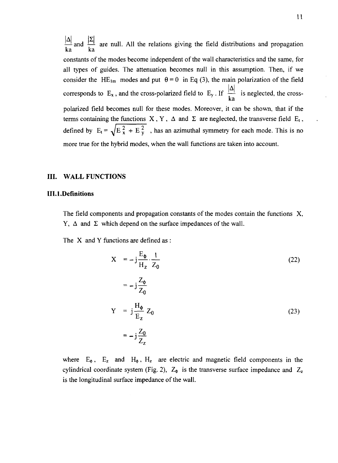$\frac{|\Delta|}{|\Delta|}$  and  $\frac{|\Sigma|}{|\Delta|}$  are null. All the relations giving the field distributions and propagation ka ka constants of the modes become independent of the wall characteristics and the same, for all types of guides. The attenuation becomes null in this assumption. Then, if we consider the HE<sub>lm</sub> modes and put  $\theta = 0$  in Eq (3), the main polarization of the field **A|** corresponds to  $E_x$ , and the cross-polarized field to  $E_y$ . If  $\frac{1}{k}$  is neglected, the crosspolarized field becomes null for these modes. Moreover, it can be shown, that if the terms containing the functions X, Y,  $\Delta$  and  $\Sigma$  are neglected, the transverse field  $E_t$ ,  $t \cdot \mathbf{r} = \sqrt{\mathbf{r}^2 + \mathbf{r}^2}$ ,  $\mathbf{r} = \sqrt{\mathbf{r}^2 + \mathbf{r}^2}$ ,  $\mathbf{r} = \mathbf{r}$ ,  $\mathbf{r} = \mathbf{r}$ ,  $\mathbf{r} = \mathbf{r}$ ,  $\mathbf{r} = \mathbf{r}$ ,  $\mathbf{r} = \mathbf{r}$ ,  $\mathbf{r} = \mathbf{r}$ ,  $\mathbf{r} = \mathbf{r}$ ,  $\mathbf{r} = \mathbf{r}$ ,  $\mathbf{r} = \mathbf{r}$ ,  $\math$ defined by E<sup>t</sup> = -JE *\ +* E y , has an azimuthal symmetry for each mode. This is no

#### **III. WALL FUNCTIONS**

#### **III. 1.Definitions**

The field components and propagation constants of the modes contain the functions X, Y,  $\Delta$  and  $\Sigma$  which depend on the surface impedances of the wall.

The X and Y functions are defined as :

$$
X = -j\frac{E_{\phi}}{H_{z}} \cdot \frac{1}{Z_{0}}
$$
  
\n
$$
= -j\frac{Z_{\phi}}{Z_{0}}
$$
  
\n
$$
Y = j\frac{H_{\phi}}{E_{z}} Z_{0}
$$
  
\n
$$
= -j\frac{Z_{0}}{Z_{z}}
$$
 (23)

where  $E_{\phi}$ ,  $E_z$  and  $H_{\phi}$ ,  $H_z$  are electric and magnetic field components in the cylindrical coordinate system (Fig. 2),  $Z_{\phi}$  is the transverse surface impedance and  $Z_{z}$ is the longitudinal surface impedance of the wall.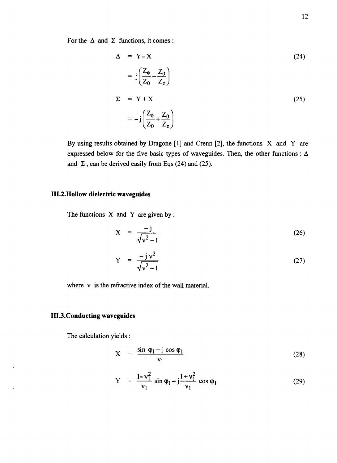For the  $\Delta$  and  $\Sigma$  functions, it comes :

$$
\Delta = Y - X \tag{24}
$$
\n
$$
= j \left( \frac{Z_{\phi}}{Z_0} - \frac{Z_0}{Z_z} \right)
$$
\n
$$
\Sigma = Y + X \tag{25}
$$
\n
$$
= -j \left( \frac{Z_{\phi}}{Z_0} + \frac{Z_0}{Z_z} \right)
$$

By using results obtained by Dragone [1] and Crenn [2], the functions X and Y are expressed below for the five basic types of waveguides. Then, the other functions :  $\Delta$ and  $\Sigma$ , can be derived easily from Eqs (24) and (25).

## **III.2.HoUow dielectric waveguides**

The functions  $X$  and  $Y$  are given by :

$$
X = \frac{-j}{\sqrt{v^2 - 1}}\tag{26}
$$

$$
Y = \frac{-j v^2}{\sqrt{v^2 - 1}}
$$
 (27)

where v is the refractive index of the wall material.

#### **III.3. Conducting waveguides**

The calculation yields:

$$
X = \frac{\sin \varphi_1 - j \cos \varphi_1}{v_1} \tag{28}
$$

$$
Y = \frac{1 - v_1^2}{v_1} \sin \varphi_1 - j \frac{1 + v_1^2}{v_1} \cos \varphi_1
$$
 (29)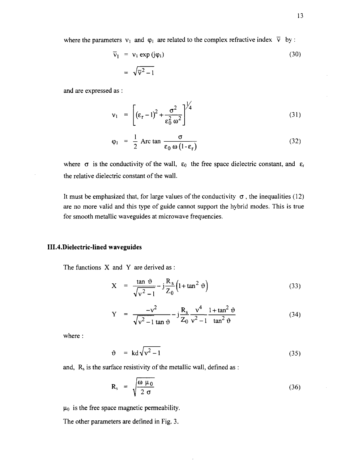where the parameters  $v_1$  and  $\varphi_1$  are related to the complex refractive index  $\bar{v}$  by :

$$
\overline{v}_1 = v_1 \exp(j\varphi_1)
$$
\n
$$
= \sqrt{\overline{v}^2 - 1}
$$
\n(30)

and are expressed as :

$$
\mathbf{v}_1 = \left[ \left( \varepsilon_r - 1 \right)^2 + \frac{\sigma^2}{\varepsilon_0^2 \omega^2} \right]^{1/4} \tag{31}
$$

$$
\varphi_1 = \frac{1}{2} \text{ Arc tan } \frac{\sigma}{\epsilon_0 \omega (1 - \epsilon_r)}
$$
(32)

where  $\sigma$  is the conductivity of the wall,  $\varepsilon_0$  the free space dielectric constant, and  $\varepsilon_r$ the relative dielectric constant of the wall.

It must be emphasized that, for large values of the conductivity  $\sigma$ , the inequalities (12) are no more valid and this type of guide cannot support the hybrid modes. This is true for smooth metallic waveguides at microwave frequencies.

#### **III.4.Dielectric-lined waveguides**

The functions X and Y are derived as :

$$
X = \frac{\tan \vartheta}{\sqrt{v^2 - 1}} - j \frac{R_s}{Z_0} \left( 1 + \tan^2 \vartheta \right)
$$
 (33)

$$
Y = \frac{-v^2}{\sqrt{v^2 - 1} \tan \vartheta} - j \frac{R_s}{Z_0} \frac{v^4}{v^2 - 1} \frac{1 + \tan^2 \vartheta}{\tan^2 \vartheta}
$$
(34)

where :

$$
\vartheta = kd\sqrt{v^2 - 1} \tag{35}
$$

and,  $R_s$  is the surface resistivity of the metallic wall, defined as

$$
R_s = \sqrt{\frac{\omega \mu_0}{2 \sigma}}
$$
 (36)

 $\mu_0$  is the free space magnetic permeability.

The other parameters are defined in Fig. 3.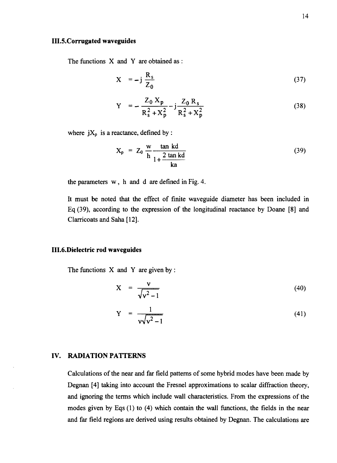The functions X and Y are obtained as :

$$
X = -j \frac{R_s}{Z_0} \tag{37}
$$

$$
Y = -\frac{Z_0 X_p}{R_s^2 + X_p^2} - j\frac{Z_0 R_s}{R_s^2 + X_p^2}
$$
 (38)

where  $jX_p$  is a reactance, defined by :

$$
X_p = Z_0 \frac{w}{h} \frac{\tan kd}{1 + \frac{2 \tan kd}{ka}}
$$
 (39)

the parameters  $w$ , h and d are defined in Fig. 4.

It must be noted that the effect of finite waveguide diameter has been included in Eq (39), according to the expression of the longitudinal reactance by Doane [8] and Clarricoats and Saha [12].

#### **III.6.Dielectric rod waveguides**

The functions  $X$  and  $Y$  are given by :

$$
X = \frac{v}{\sqrt{v^2 - 1}}
$$
 (40)

$$
Y = \frac{1}{\sqrt{v^2 - 1}}\tag{41}
$$

#### **IV. RADIATION PATTERNS**

Calculations of the near and far field patterns of some hybrid modes have been made by Degnan [4] taking into account the Fresnel approximations to scalar diffraction theory, and ignoring the terms which include wall characteristics. From the expressions of the modes given by Eqs (1) to (4) which contain the wall functions, the fields in the near and far field regions are derived using results obtained by Degnan. The calculations are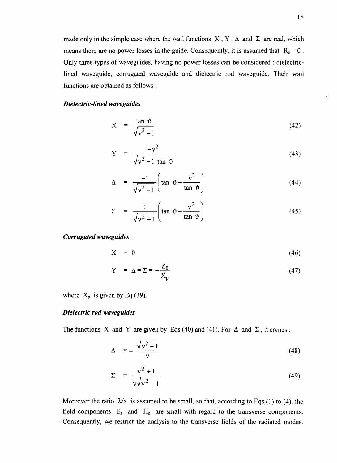made only in the simple case where the wall functions  $X, Y, \Delta$  and  $\Sigma$  are real, which means there are no power losses in the guide. Consequently, it is assumed that  $R_s = 0$ . Only three types of waveguides, having no power losses can be considered : dielectriclined waveguide, corrugated waveguide and dielectric rod waveguide. Their wall functions are obtained as follows :

#### *Dielectric-lined waveguides*

$$
X = \frac{\tan \vartheta}{\sqrt{v^2 - 1}}
$$
 (42)

$$
Y = \frac{-v^2}{\sqrt{v^2 - 1} \tan \vartheta} \tag{43}
$$

$$
\Delta = \frac{-1}{\sqrt{v^2 - 1}} \left( \tan \vartheta + \frac{v^2}{\tan \vartheta} \right)
$$
 (44)

$$
\Sigma = \frac{1}{\sqrt{v^2 - 1}} \left( \tan \vartheta - \frac{v^2}{\tan \vartheta} \right)
$$
 (45)

*Corrugated waveguides*

$$
X = 0 \tag{46}
$$

$$
Y = \Delta = \Sigma = -\frac{Z_0}{X_p} \tag{47}
$$

where  $X_p$  is given by Eq (39).

## *Dielectric rod waveguides*

The functions X and Y are given by Eqs (40) and (41). For  $\Delta$  and  $\Sigma$ , it comes :

$$
\Delta = -\frac{\sqrt{v^2 - 1}}{v} \tag{48}
$$

$$
\Sigma = \frac{v^2 + 1}{v\sqrt{v^2 - 1}}
$$
 (49)

Moreover the ratio  $\lambda/a$  is assumed to be small, so that, according to Eqs (1) to (4), the field components  $E_z$  and  $H_z$  are small with regard to the transverse components. Consequently, we restrict the analysis to the transverse fields of the radiated modes.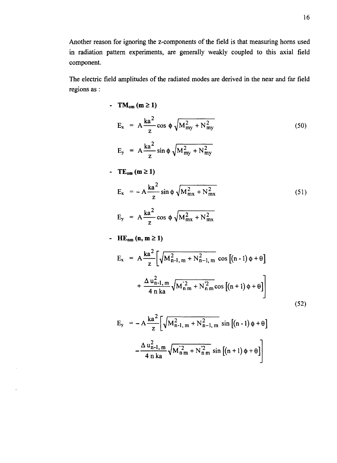Another reason for ignoring the z-components of the field is that measuring horns used in radiation pattern experiments, are generally weakly coupled to this axial field component.

The electric field amplitudes of the radiated modes are derived in the near and far field regions as:

**-**  $TM_{\text{om}}$  (m  $\geq 1$ )

$$
E_x = A \frac{k a^2}{z} \cos \phi \sqrt{M_{my}^2 + N_{my}^2}
$$
\n
$$
E_y = A \frac{k a^2}{z} \sin \phi \sqrt{M_{my}^2 + N_{my}^2}
$$
\n(50)

-  $TE_{\text{om}}$  (m  $\geq$  1)

$$
E_x = -A\frac{ka^2}{z}\sin\phi\sqrt{M_{mx}^2 + N_{mx}^2}
$$
\n
$$
E_y = A\frac{ka^2}{z}\cos\phi\sqrt{M_{mx}^2 + N_{mx}^2}
$$
\n(51)

- HE<sub>nm</sub> (n, m  $\geq$  1)

l.

$$
E_x = A \frac{ka^2}{z} \Big[ \sqrt{M_{n-1,m}^2 + N_{n-1,m}^2} \cos \Big[ (n-1) \phi + \theta \Big] + \frac{\Delta u_{n-1,m}^2}{4 n k a} \sqrt{M_{n,m}^2 + N_{n,m}^2} \cos \Big[ (n+1) \phi + \theta \Big] \Big]
$$
(52)

$$
E_y = -A \frac{ka^2}{z} \left[ \sqrt{M_{n-1, m}^2 + N_{n-1, m}^2} \sin \left[ (n-1) \phi + \theta \right] \right]
$$

$$
- \frac{\Delta u_{n-1, m}^2}{4 n k a} \sqrt{M_{n m}^2 + N_{n m}^2} \sin \left[ (n+1) \phi + \theta \right]
$$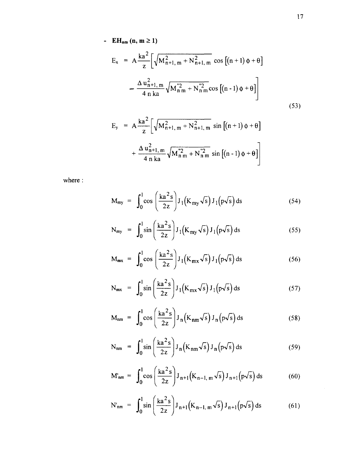$$
\mathbf{EH}_{nm} \text{ (n, m \ge 1)}
$$
\n
$$
E_{x} = A \frac{k a^{2}}{z} \left[ \sqrt{M_{n+1, m}^{2} + N_{n+1, m}^{2}} \cos \left[ (n+1) \phi + \theta \right] \right]
$$
\n
$$
- \frac{\Delta u_{n+1, m}^{2}}{4 n \text{ ka}} \sqrt{M_{n, m}^{2} + N_{n, m}^{2}} \cos \left[ (n-1) \phi + \theta \right] \right]
$$
\n(53)

$$
E_{y} = A \frac{ka^{2}}{z} \left[ \sqrt{M_{n+1, m}^{2} + N_{n+1, m}^{2}} \sin \left[ (n+1) \phi + \theta \right] + \frac{\Delta u_{n+1, m}^{2}}{4 n k a} \sqrt{M_{n, m}^{2} + N_{n, m}^{2}} \sin \left[ (n-1) \phi + \theta \right] \right]
$$

where :

 $\blacksquare$ 

$$
M_{\rm my} = \int_0^1 \cos\left(\frac{ka^2 s}{2z}\right) J_1(K_{\rm my}\sqrt{s}) J_1(p\sqrt{s}) ds \qquad (54)
$$

$$
N_{\rm my} = \int_0^1 \sin\left(\frac{ka^2 s}{2z}\right) J_1(K_{\rm my}\sqrt{s}) J_1(p\sqrt{s}) ds \qquad (55)
$$

$$
M_{\text{mx}} = \int_0^1 \cos\left(\frac{ka^2 s}{2z}\right) J_1(K_{\text{mx}}\sqrt{s}) J_1(p\sqrt{s}) ds \qquad (56)
$$

$$
N_{mx} = \int_0^1 \sin\left(\frac{ka^2 s}{2z}\right) J_1(K_{mx}\sqrt{s}) J_1(p\sqrt{s}) ds \qquad (57)
$$

$$
M_{nm} = \int_0^1 \cos\left(\frac{ka^2 s}{2z}\right) J_n\left(K_{nm}\sqrt{s}\right) J_n\left(p\sqrt{s}\right) ds \tag{58}
$$

$$
N_{nm} = \int_0^1 \sin\left(\frac{ka^2 s}{2z}\right) J_n\left(K_{nm}\sqrt{s}\right) J_n\left(p\sqrt{s}\right) ds \tag{59}
$$

$$
M'_{nm} = \int_0^1 \cos\left(\frac{ka^2 s}{2z}\right) J_{n+1}\left(K_{n-1, m}\sqrt{s}\right) J_{n+1}\left(p\sqrt{s}\right) ds \tag{60}
$$

$$
N'_{nm} = \int_0^1 \sin\left(\frac{ka^2 s}{2z}\right) J_{n+1}\left(K_{n-1, m} \sqrt{s}\right) J_{n+1}\left(p\sqrt{s}\right) ds \tag{61}
$$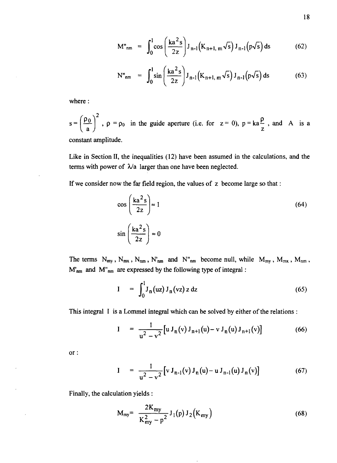$$
M''_{nm} = \int_0^1 \cos\left(\frac{ka^2 s}{2z}\right) J_{n-1}\left(K_{n+1, m}\sqrt{s}\right) J_{n-1}\left(p\sqrt{s}\right) ds \tag{62}
$$

$$
N''_{nm} = \int_0^1 \sin\left(\frac{ka^2 s}{2z}\right) J_{n-1}\left(K_{n+1, m} \sqrt{s}\right) J_{n-1}\left(p \sqrt{s}\right) ds \tag{63}
$$

where:

 $s = \left[\begin{array}{c|c} P0 & , \rho = \rho_0 \end{array}\right]$  in the guide aperture (i.e. for  $z = 0$ ),  $p = ka^{\frac{1}{2}}$ , and A is a  $\mathbf{z}$ constant amplitude.

Like in Section II, the inequalities (12) have been assumed in the calculations, and the terms with power of  $\lambda/a$  larger than one have been neglected.

If we consider now the far field region, the values of z become large so that:

$$
\cos\left(\frac{ka^2s}{2z}\right) \approx 1\tag{64}
$$
  

$$
\sin\left(\frac{ka^2s}{2z}\right) \approx 0
$$

The terms  $N_{my}$ ,  $N_{mx}$ ,  $N_{nm}$ ,  $N'_{nm}$  and  $N''_{nm}$  become null, while  $M_{my}$ ,  $M_{mx}$ ,  $M_{nm}$ ,  $M'_{nm}$  and  $M''_{nm}$  are expressed by the following type of integral:

$$
I = \int_0^1 J_n(uz) J_n(vz) z dz
$$
 (65)

This integral I is a Lommel integral which can be solved by either of the relations :

$$
I = \frac{1}{u^2 - v^2} \left[ u J_n(v) J_{n+1}(u) - v J_n(u) J_{n+1}(v) \right]
$$
(66)

or:

$$
I = \frac{1}{u^2 - v^2} \Big[ v J_{n-1}(v) J_n(u) - u J_{n-1}(u) J_n(v) \Big] \tag{67}
$$

Finally, the calculation yields :

$$
M_{my} = \frac{2K_{my}}{K_{my}^2 - p^2} J_1(p) J_2(K_{my})
$$
 (68)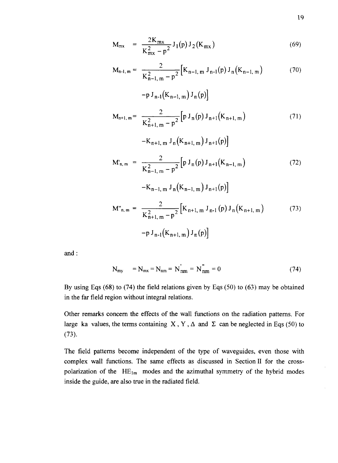$$
M_{mx} = \frac{2K_{mx}}{K_{mx}^2 - p^2} J_1(p) J_2(K_{mx})
$$
 (69)

$$
M_{n-1, m} = \frac{2}{K_{n-1, m}^2 - p^2} \Big[ K_{n-1, m} J_{n-1}(p) J_n(K_{n-1, m}) \Big]
$$
(70)

$$
-p J_{n-1}(K_{n-1,m}) J_n(p)]
$$
  
\n
$$
M_{n+1,m} = \frac{2}{K_{n+1,m}^2 - p^2} [p J_n(p) J_{n+1}(K_{n+1,m})
$$
(71)  
\n
$$
-K_{n+1,m} J_n(K_{n+1,m}) J_{n+1}(p)]
$$
  
\n
$$
M_{n,m} = \frac{2}{K_{n-1,m}^2 - p^2} [p J_n(p) J_{n+1}(K_{n-1,m})
$$
(72)  
\n
$$
-K_{n-1,m} J_n(K_{n-1,m}) J_{n+1}(p)]
$$
  
\n
$$
M_{n,m} = \frac{2}{K_{n+1,m}^2 - p^2} [K_{n+1,m} J_{n-1}(p) J_n(K_{n+1,m})
$$
(73)  
\n
$$
-p J_{n-1}(K_{n+1,m}) J_n(p)]
$$

and :

$$
N_{my} = N_{mx} = N_{nm} = N_{nm}^{'} = N_{nm}^{''} = 0
$$
 (74)

By using Eqs (68) to (74) the field relations given by Eqs (50) to (63) may be obtained in the far field region without integral relations.

Other remarks concern the effects of the wall functions on the radiation patterns. For large ka values, the terms containing X, Y,  $\Delta$  and  $\Sigma$  can be neglected in Eqs (50) to (73).

The field patterns become independent of the type of waveguides, even those with complex wall functions. The same effects as discussed in Section II for the crosspolarization of the  $HE_{lm}$  modes and the azimuthal symmetry of the hybrid modes inside the guide, are also true in the radiated field.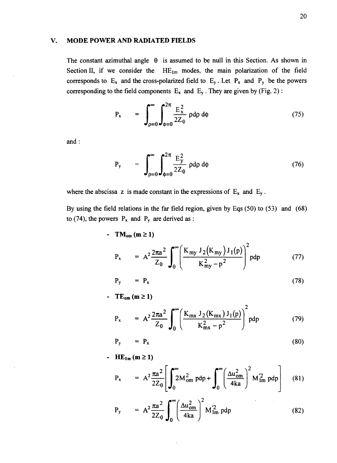#### V. **MODE POWER AND RADIATED FIELDS**

The constant azimuthal angle  $\theta$  is assumed to be null in this Section. As shown in Section II, if we consider the  $HE_{lm}$  modes, the main polarization of the field corresponds to  $E_x$  and the cross-polarized field to  $E_y$ . Let  $P_x$  and  $P_y$  be the powers corresponding to the field components  $E_x$  and  $E_y$ . They are given by (Fig. 2):

$$
P_x = \int_{\rho=0}^{\infty} \int_{\phi=0}^{2\pi} \frac{E_x^2}{2Z_0} \rho d\rho d\phi \qquad (75)
$$

and :

$$
P_{y} = \int_{\rho=0}^{\infty} \int_{\phi=0}^{2\pi} \frac{E_{y}^{2}}{2Z_{0}} \rho d\rho d\phi
$$
 (76)

where the abscissa z is made constant in the expressions of  $E_x$  and  $E_y$ .

By using the field relations in the far field region, given by Eqs (50) to (53) and (68) to (74), the powers  $P_x$  and  $P_y$  are derived as :

 $- T M_{om} (m \ge 1)$ 

$$
P_x = A^2 \frac{2\pi a^2}{Z_0} \int_0^\infty \left( \frac{K_{my} J_2(K_{my}) J_1(p)}{K_{my}^2 - p^2} \right)^2 p dp
$$
 (77)

$$
P_y = P_x \tag{78}
$$

-  $TE_{\text{om}}$  (m  $\geq$  1)

$$
P_x = A^2 \frac{2\pi a^2}{Z_0} \int_0^\infty \left( \frac{K_{mx} J_2(K_{mx}) J_1(p)}{K_{mx}^2 - p^2} \right)^2 p dp \qquad (79)
$$

$$
P_y = P_x \tag{80}
$$

- HE<sub>lm</sub> (m  $\geq$  1)

$$
P_x = A^2 \frac{\pi a^2}{2Z_0} \left[ \int_0^\infty 2M_{\text{om}}^2 \, p dp + \int_0^\infty \left( \frac{\Delta u_{\text{om}}^2}{4ka} \right)^2 M_{\text{Im}}^2 \, p dp \right] \tag{81}
$$

$$
P_{y} = A^{2} \frac{\pi a^{2}}{2Z_{0}} \int_{0}^{\infty} \left(\frac{\Delta u_{\text{om}}^{2}}{4ka}\right)^{2} M_{\text{Im}}^{2} p dp
$$
 (82)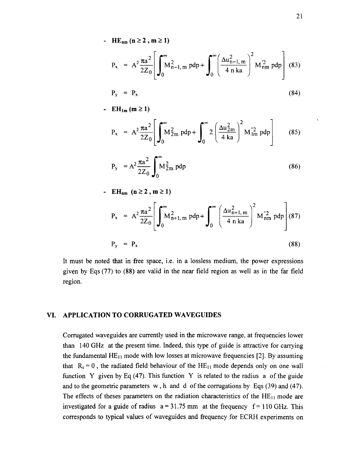$\text{HE}_{nm}$  ( $n \geq 2$ ,  $m \geq 1$ )

$$
P_x = A^2 \frac{\pi a^2}{2Z_0} \left[ \int_0^\infty M_{n-1, m}^2 p dp + \int_0^\infty \left( \frac{\Delta u_{n-1, m}^2}{4 n \text{ ka}} \right)^2 M_{nm}^2 p dp \right] (83)
$$

$$
P_y = P_x \tag{84}
$$

**-** EH<sub>1m</sub> (m ≥ 1)

$$
P_x = A^2 \frac{\pi a^2}{2Z_0} \left[ \int_0^\infty M_{2m}^2 p dp + \int_0^\infty 2 \left( \frac{\Delta u_{2m}^2}{4 \text{ ka}} \right)^2 M_{1m}^{''2} p dp \right]
$$
(85)

$$
P_{y} = A^{2} \frac{\pi a^{2}}{2Z_{0}} \int_{0}^{\infty} M_{2m}^{2} p dp
$$
 (86)

$$
\text{-} \quad \mathbf{EH}_{nm} \;\; (\mathbf{n} \geq 2 \;,\; \mathbf{m} \geq 1)
$$

$$
P_x = A^2 \frac{\pi a^2}{2Z_0} \left[ \int_0^\infty M_{n+1, m}^2 p dp + \int_0^\infty \left( \frac{\Delta u_{n+1, m}^2}{4 n \text{ ka}} \right)^2 M_{nm}^{''2} p dp \right] (87)
$$

$$
P_y = P_x \tag{88}
$$

It must be noted that in free space, i.e. in a lossless medium, the power expressions given by Eqs (77) to (88) are valid in the near field region as well as in the far field region.

#### **VI. APPLICATION TO CORRUGATED WAVEGUIDES**

Corrugated waveguides are currently used in the microwave range, at frequencies lower than 140 GHz at the present time. Indeed, this type of guide is attractive for carrying the fundamental  $HE_{11}$  mode with low losses at microwave frequencies [2]. By assuming that  $R_s = 0$ , the radiated field behaviour of the  $HE_{11}$  mode depends only on one wall function Y given by Eq  $(47)$ . This function Y is related to the radius a of the guide and to the geometric parameters w, h and d of the corrugations by Eqs (39) and (47). The effects of theses parameters on the radiation characteristics of the  $HE_{11}$  mode are investigated for a guide of radius  $a = 31.75$  mm at the frequency  $f = 110$  GHz. This corresponds to typical values of waveguides and frequency for ECRH experiments on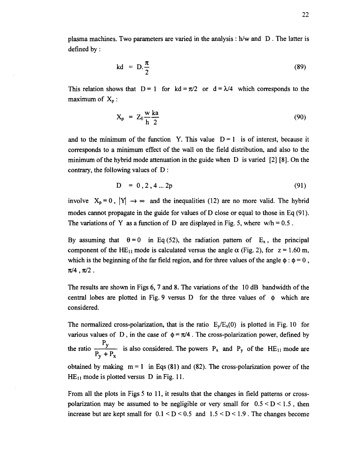plasma machines. Two parameters are varied in the analysis : h/w and D . The latter is defined by:

$$
kd = D. \frac{\pi}{2} \tag{89}
$$

This relation shows that  $D = 1$  for  $kd = \pi/2$  or  $d = \lambda/4$  which corresponds to the maximum of  $X_p$ :

$$
X_p = Z_0 \frac{w}{h} \frac{ka}{2}
$$
 (90)

and to the minimum of the function Y. This value  $D = 1$  is of interest, because it corresponds to a minimum effect of the wall on the field distribution, and also to the minimum of the hybrid mode attenuation in the guide when D is varied [2] [8]. On the contrary, the following values of D :

$$
D = 0, 2, 4 ... 2p \tag{91}
$$

involve  $X_p = 0$ ,  $|Y| \rightarrow \infty$  and the inequalities (12) are no more valid. The hybrid modes cannot propagate in the guide for values of D close or equal to those in Eq (91). The variations of Y as a function of D are displayed in Fig. 5, where  $w/h = 0.5$ .

By assuming that  $\theta = 0$  in Eq (52), the radiation pattern of E<sub>x</sub>, the principal component of the HE<sub>11</sub> mode is calculated versus the angle  $\alpha$  (Fig. 2), for z = 1.60 m, which is the beginning of the far field region, and for three values of the angle  $\phi : \phi = 0$ ,  $\pi/4$ ,  $\pi/2$ .

The results are shown in Figs 6, 7 and 8. The variations of the 10 dB bandwidth of the central lobes are plotted in Fig. 9 versus  $D$  for the three values of  $\phi$  which are considered.

The normalized cross-polarization, that is the ratio  $E_v/E_x(0)$  is plotted in Fig. 10 for various values of D, in the case of  $\phi = \pi/4$ . The cross-polarization power, defined by Py the ratio  $\frac{1}{p} + \frac{1}{p}$  is also considered. The powers  $P_x$  and  $P_y$  of the HE<sub>11</sub> mode are  $\mathbf{y}$   $\mathbf{y}$  $\frac{1}{2}$  in the  $\frac{1}{2}$  in  $\frac{1}{2}$  in Eqs. (81) and (82). The cross-polarization power of the  $HE_{11}$  mode is plotted versus D in Fig. 11.

From all the plots in Figs 5 to 11, it results that the changes in field patterns or crosspolarization may be assumed to be negligible or very small for  $0.5 < D < 1.5$ , then increase but are kept small for  $0.1 < D < 0.5$  and  $1.5 < D < 1.9$ . The changes become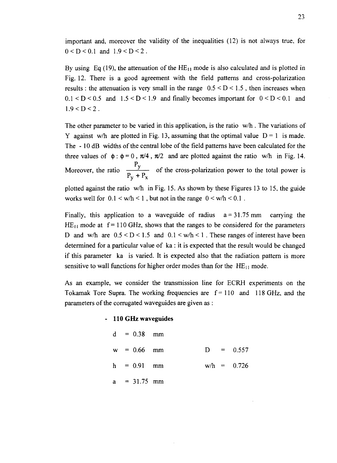important and, moreover the validity of the inequalities (12) is not always true, for  $0 < D < 0.1$  and  $1.9 < D < 2$ .

By using Eq (19), the attenuation of the  $HE_{11}$  mode is also calculated and is plotted in Fig. 12. There is a good agreement with the field patterns and cross-polarization results : the attenuation is very small in the range  $0.5 \leq D \leq 1.5$ , then increases when  $0.1 < D < 0.5$  and  $1.5 < D < 1.9$  and finally becomes important for  $0 < D < 0.1$  and  $1.9 < D < 2$ .

The other parameter to be varied in this application, is the ratio w/h. The variations of Y against w/h are plotted in Fig. 13, assuming that the optimal value  $D = 1$  is made. The - 10 dB widths of the central lobe of the field patterns have been calculated for the three values of  $\phi$ :  $\phi = 0$ ,  $\pi/4$ ,  $\pi/2$  and are plotted against the ratio w/h in Fig. 14.  $\rm P_{\rm v}$ Moreover, the ratio  $\frac{1}{p+1}$  of the cross-polarization power to the total power is  $\mathbf{y}$   $\mathbf{x}$ 

plotted against the ratio w/h in Fig. 15. As shown by these Figures 13 to 15, the guide works well for  $\alpha$ . When  $\alpha$  , but not in the range  $\beta$  and  $\alpha$ .

Finally, this application to a waveguide of radius  $a = 31.75$  mm carrying the  $HE_{11}$  mode at  $f = 110$  GHz, shows that the ranges to be considered for the parameters D and w/h are  $0.5 \leq D \leq 1.5$  and  $0.1 \leq w/h \leq 1$ . These ranges of interest have been determined for a particular value of ka : it is expected that the result would be changed if this parameter ka is varied. It is expected also that the radiation pattern is more sensitive to wall functions for higher order modes than for the  $HE_{11}$  mode.

As an example, we consider the transmission line for ECRH experiments on the Tokamak Tore Supra. The working frequencies are  $f = 110$  and 118 GHz, and the parameters of the corrugated waveguides are given as :

### - **110 GHz waveguides**

|   | $d = 0.38$ mm |  |               |
|---|---------------|--|---------------|
|   | $w = 0.66$ mm |  | $D = 0.557$   |
|   | $h = 0.91$ mm |  | $w/h = 0.726$ |
| a | $= 31.75$ mm  |  |               |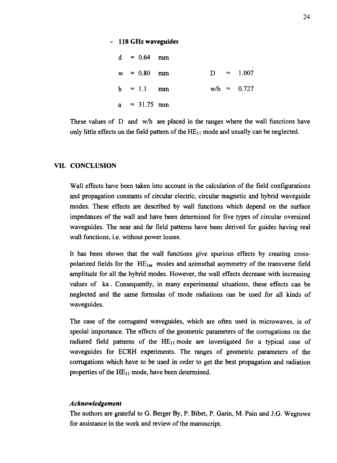#### - **118 GHz waveguides**

|  | $d = 0.64$ mm  |  |               |
|--|----------------|--|---------------|
|  | $w = 0.80$ mm  |  | $D = 1.007$   |
|  | $h = 1.1$ mm   |  | $w/h = 0.727$ |
|  | $a = 31.75$ mm |  |               |

These values of D and w/h are placed in the ranges where the wall functions have only little effects on the field pattern of the  $HE_{11}$  mode and usually can be neglected.

#### **VII. CONCLUSION**

Wall effects have been taken into account in the calculation of the field configurations and propagation constants of circular electric, circular magnetic and hybrid waveguide modes. These effects are described by wall functions which depend on the surface impedances of the wall and have been determined for five types of circular oversized waveguides. The near and far field patterns have been derived for guides having real wall functions, i.e. without power losses.

It has been shown that the wall functions give spurious effects by creating crosspolarized fields for the  $HE_{lm}$  modes and azimuthal asymmetry of the transverse field amplitude for all the hybrid modes. However, the wall effects decrease with increasing values of ka. Consequently, in many experimental situations, these effects can be neglected and the same formulas of mode radiations can be used for all kinds of waveguides.

The case of the corrugated waveguides, which are often used in microwaves, is of special importance. The effects of the geometric parameters of the corrugations on the radiated field patterns of the  $HE_{11}$  mode are investigated for a typical case of waveguides for ECRH experiments. The ranges of geometric parameters of the corrugations which have to be used in order to get the best propagation and radiation properties of the  $HE_{11}$  mode, have been determined.

#### *Acknowledgement*

The authors are grateful to G. Berger By, P. Bibet, P. Garin, M. Pain and J.G. Wegrowe for assistance in the work and review of the manuscript.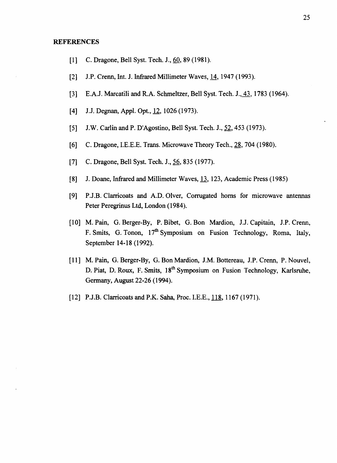#### **REFERENCES**

- [1] C. Dragone, Bell Syst. Tech. J., 60, 89 (1981).
- [2] J.P. Crenn, Int. J. Infrared Millimeter Waves, 14, 1947 (1993).
- [3] E.A.J. Marcatili and R.A. Schmeltzer, Bell Syst. Tech. J., 43, 1783 (1964).
- [4] J.J. Degnan, Appl. Opt., 12, 1026 (1973).
- [5] J.W. Carlin and P. D'Agostino, Bell Syst. Tech. J., 52, 453 (1973).
- [6] C. Dragone, I.E.E.E. Trans. Microwave Theory Tech., 28, 704 (1980).
- [7] C. Dragone, Bell Syst. Tech. J., 56, 835 (1977).
- [8] J. Doane, Infrared and Millimeter Waves, 13, 123, Academic Press (1985)
- [9] P.J.B. Clarricoats and A.D. Olver, Corrugated horns for microwave antennas Peter Peregrinus Ltd, London (1984).
- [10] M. Pain, G. Berger-By, P. Bibet, G.Bon Mardion, J.J. Capitain, J.P. Crenn, F. Smits, G. Tonon, 17<sup>th</sup> Symposium on Fusion Technology, Roma, Italy, September 14-18 (1992).
- [11] M. Pain, G. Berger-By, G. Bon Mardion, J.M. Bottereau, J.P. Crenn, P. Nouvel, D. Piat, D. Roux, F. Smits, 18<sup>th</sup> Symposium on Fusion Technology, Karlsruhe, Germany, August 22-26 (1994).
- [12] P.J.B. Clarricoats and P.K. Saha, Proc. I.E.E., 118, 1167 (1971).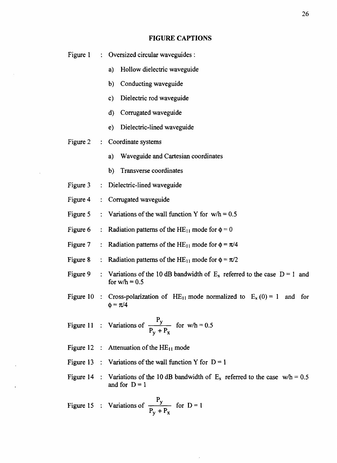#### **FIGURE CAPTIONS**

| Figure 1 |                | : Oversized circular waveguides :                                                                                                                                                                                                                                         |  |
|----------|----------------|---------------------------------------------------------------------------------------------------------------------------------------------------------------------------------------------------------------------------------------------------------------------------|--|
|          |                | Hollow dielectric waveguide<br>a)                                                                                                                                                                                                                                         |  |
|          |                | Conducting waveguide<br>b)                                                                                                                                                                                                                                                |  |
|          |                | Dielectric rod waveguide<br>c)                                                                                                                                                                                                                                            |  |
|          |                | d) Corrugated waveguide                                                                                                                                                                                                                                                   |  |
|          |                | e) Dielectric-lined waveguide                                                                                                                                                                                                                                             |  |
|          |                | Figure 2 : Coordinate systems                                                                                                                                                                                                                                             |  |
|          |                | Waveguide and Cartesian coordinates<br>a)                                                                                                                                                                                                                                 |  |
|          |                | Transverse coordinates<br>b)                                                                                                                                                                                                                                              |  |
| Figure 3 |                | : Dielectric-lined waveguide                                                                                                                                                                                                                                              |  |
| Figure 4 |                | : Corrugated waveguide                                                                                                                                                                                                                                                    |  |
| Figure 5 |                | : Variations of the wall function Y for $w/h = 0.5$                                                                                                                                                                                                                       |  |
| Figure 6 | $\ddot{\cdot}$ | Radiation patterns of the HE <sub>11</sub> mode for $\phi = 0$                                                                                                                                                                                                            |  |
| Figure 7 | $\ddot{\cdot}$ | Radiation patterns of the HE <sub>11</sub> mode for $\phi = \pi/4$                                                                                                                                                                                                        |  |
| Figure 8 | $\ddot{\cdot}$ | Radiation patterns of the HE <sub>11</sub> mode for $\phi = \pi/2$                                                                                                                                                                                                        |  |
| Figure 9 |                | : Variations of the 10 dB bandwidth of $E_x$ referred to the case $D = 1$ and<br>for $w/h = 0.5$                                                                                                                                                                          |  |
| r:       |                | $\mathbf{C}$ . $\mathbf{C}$ . $\mathbf{C}$ . The set of $\mathbf{C}$ is the set of $\mathbf{C}$ . The set of $\mathbf{C}$ is the set of $\mathbf{C}$ is the set of $\mathbf{C}$ is the set of $\mathbf{C}$ is the set of $\mathbf{C}$ is the set of $\mathbf{C}$ is the s |  |

Figure 10 : Cross-polarization of  $HE_{11}$  mode normalized to  $E_x (0) = 1$  and for  $\phi = \pi/4$ 

Py Figure 11 : variations of  $\frac{1}{P_+ + P_+}$  for  $w/n = 0.5$  $\cdot$  y  $\cdot$  -

- Figure 12 : Attenuation of the  $HE_{11}$  mode
- Figure 13 : Variations of the wall function Y for  $D = 1$
- Figure 14 : Variations of the 10 dB bandwidth of  $E_x$  referred to the case w/h = 0.5 and for  $D = 1$

 $\cdot$ 

Py Figure 15 : Variations of  $\frac{f}{P_y + P_x}$  for  $D = 1$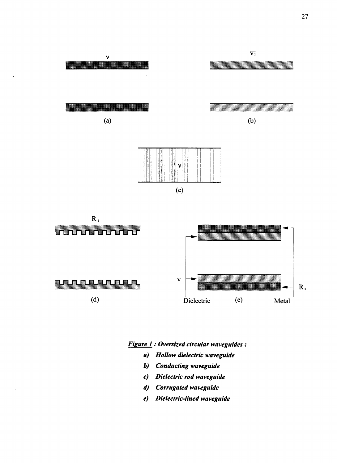

*Fieure 1: Oversized circular waveguides :*

- *a) Hollow dielectric waveguide*
- *b) Conducting waveguide*
- *c) Dielectric rod waveguide*
- *d) Corrugated waveguide*
- *e) Dielectric-lined waveguide*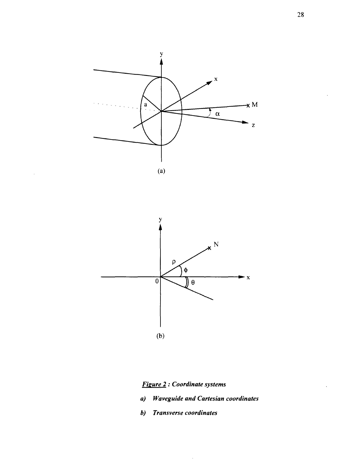



*Figure 2 : Coordinate systems*

*a) Waveguide and Cartesian coordinates*

 $\epsilon$ 

*b) Transverse coordinates*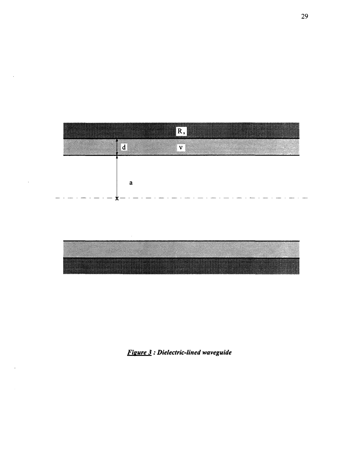

**Figure 3: Dielectric-lined waveguide**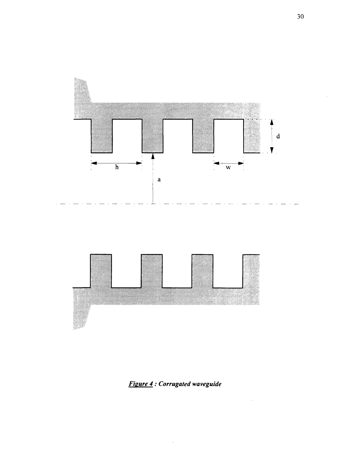

**Figure 4: Corrugated waveguide**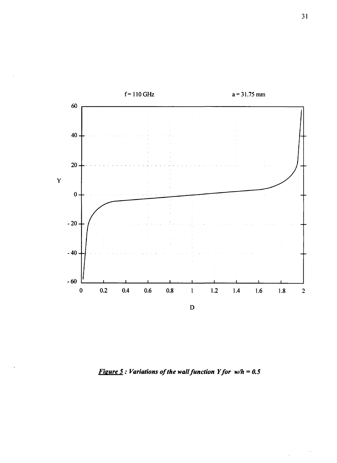

*Figure 5: Variations of the wall function Yfor w/h = 0.5*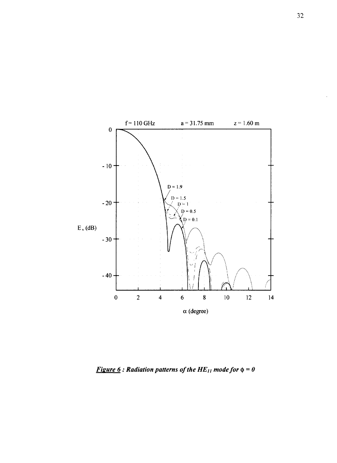

*<u>Figure 6</u>: Radiation patterns of the HE<sub>11</sub> mode for*  $\phi = 0$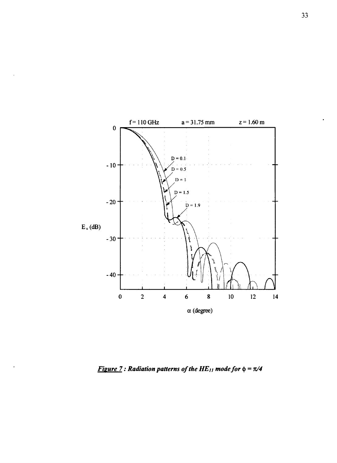

**Figure 7:** Radiation patterns of the HE<sub>11</sub> mode for  $\phi = \pi/4$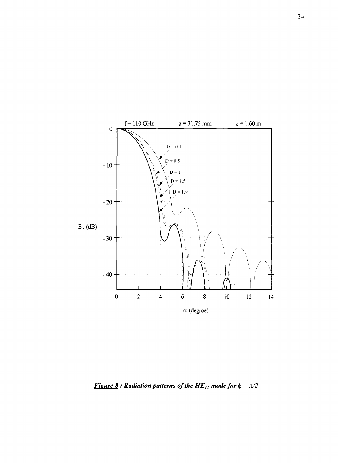

*Figure* 8 : Radiation patterns of the  $HE_{11}$  mode for  $\phi = \pi/2$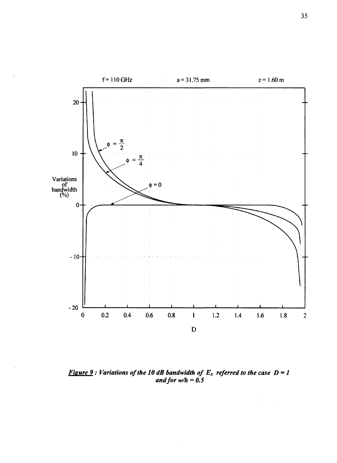

*Fieure 9: Variations of the 10 dB bandwidth of Ex referred to the case D = 1 and for w/li =0.5*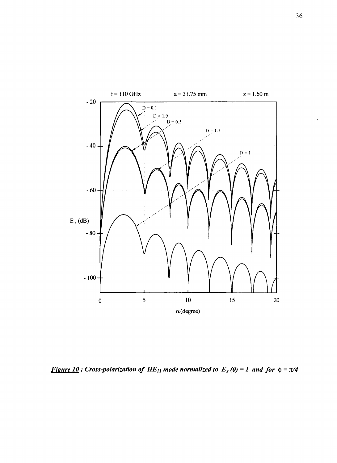

<u>Figure 10</u>: Cross-polarization of  $HE_{11}$  mode normalized to  $E_x(0) = 1$  and for  $\phi = \pi/4$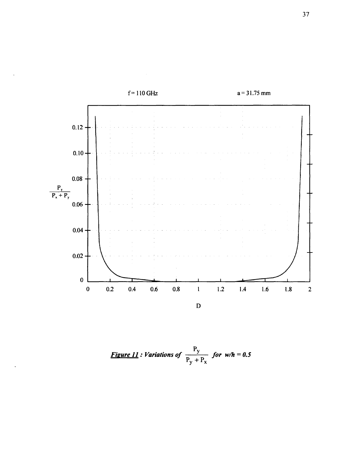

<u>Figure 11</u>: Variations of  $\frac{P_y}{P_y + P_x}$  for  $w/h = 0.5$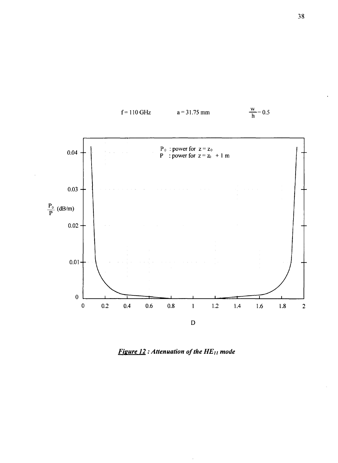

*Fisure 12 : Attenuation of the HEu mode*

 $\overline{\phantom{a}}$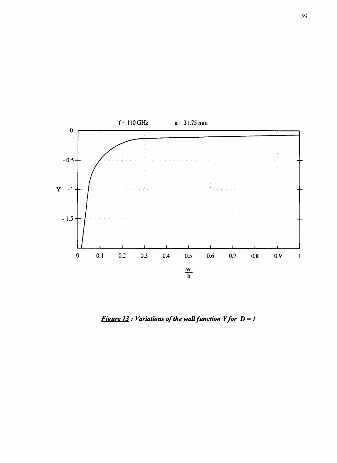

*Fieure 13: Variations of the wall function Yfor D = 1*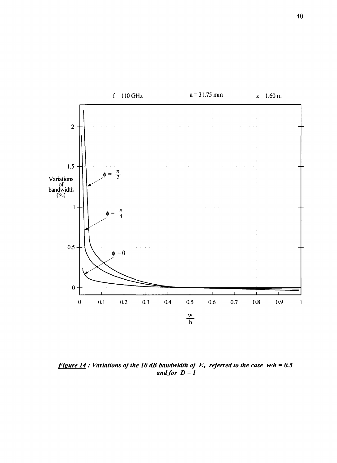

*Fie ure 14 : Variations of the 10 dB bandwidth of Ex referred to the case w/h = 0.5 and for D = 1*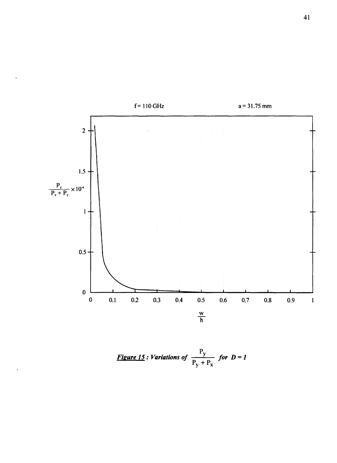

**Figure 15**: Variations of  $\frac{P_y}{P_y + P_x}$  for  $D = I$